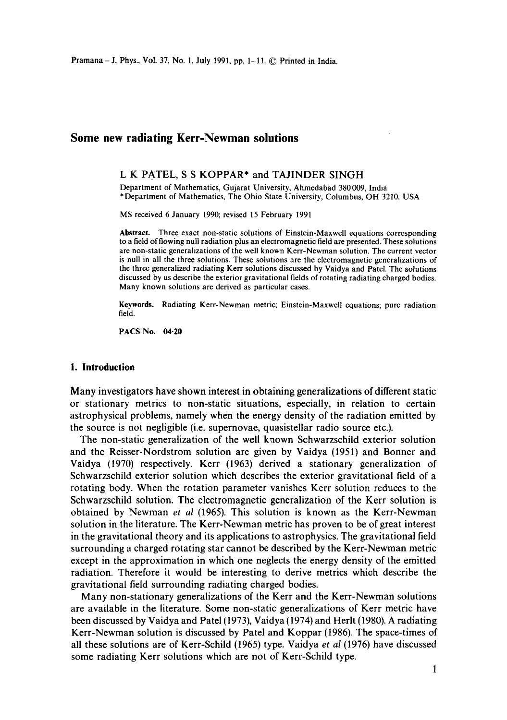# **Some new radiating Kerr-Newman solutions**

## L K PATEL, S S KOPPAR\* and TAJINDER SINGH

Department of Mathematics, Gujarat University, Ahmedabad 380 009, India \*Department of Mathematics, The Ohio State University, Columbus, OH 3210, USA

MS received 6 January 1990; revised 15 February 1991

**Abstract.** Three exact non-static solutions of Einstein-Maxwell equations corresponding to a field of flowing null radiation plus an electromagnetic field are presented. These solutions are non-static generalizations of the well known Kerr-Newman solution. The current vector is null in all the three solutions. These solutions are the electromagnetic generalizations of the three generalized radiating Kerr solutions discussed by Vaidya and Patel. The solutions discussed by us describe the exterior gravitational fields of rotating radiating charged bodies. Many known solutions are derived as particular cases.

**Keywords.** Radiating Kerr-Newman metric; Einstein-Maxwell equations; pure radiation field.

PACS No. 04.20

## **1. Introduction**

Many investigators have shown interest in obtaining generalizations of different static or stationary metrics to non-static situations, especially, in relation to certain astrophysical problems, namely when the energy density of the radiation emitted by the source is not negligible (i.e. supernovae, quasistellar radio source etc.).

The non-static generalization of the well known Schwarzschild exterior solution and the Reisser-Nordstrom solution are given by Vaidya (1951) and Bonner and Vaidya (1970) respectively. Kerr (1963) derived a stationary generalization of Schwarzschild exterior solution which describes the exterior gravitational field of a rotating body. When the rotation parameter vanishes Kerr solution reduces to the Schwarzschild solution. The electromagnetic generalization of the Kerr solution is obtained by Newman *et al* (1965). This solution is known as the Kerr-Newman solution in the literature. The Kerr-Newman metric has proven to be of great interest in the gravitational theory and its applications to astrophysics. The gravitational field surrounding a charged rotating star cannot be described by the Kerr-Newman metric except in the approximation in which one neglects the energy density of the emitted radiation. Therefore it would be interesting to derive metrics which describe the gravitational field surrounding radiating charged bodies.

Many non-stationary generalizations of the Kerr and the Kerr-Newman solutions are available in the literature. Some non-static generalizations of Kerr metric have been discussed by Vaidya and Patel (1973), Vaidya (1974) and Herlt (1980). A radiating Kerr-Newman solution is discussed by Patel and Koppar (1986). The space-times of all these solutions are of Kerr-Schild (1965) type. Vaidya *et al* (1976) have discussed some radiating Kerr solutions which are not of Kerr-Schild type.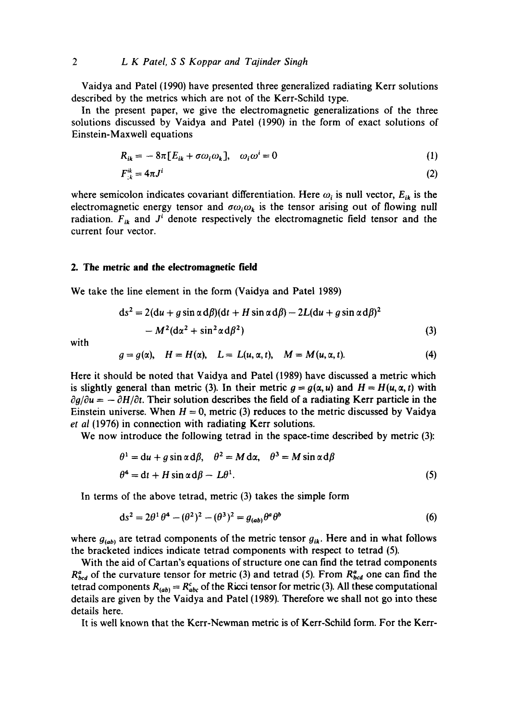Vaidya and Patel (1990) have presented three generalized radiating Kerr solutions described by the metrics which are not of the Kerr-Schild type.

In the present paper, we give the electromagnetic generalizations of the three solutions discussed by Vaidya and Patel (1990) in the form of exact solutions of Einstein-Maxwell equations

$$
R_{ik} = -8\pi [E_{ik} + \sigma \omega_i \omega_k], \quad \omega_i \omega^i = 0 \tag{1}
$$

$$
F_{ik}^{ik} = 4\pi J^i \tag{2}
$$

where semicolon indicates covariant differentiation. Here  $\omega_i$  is null vector,  $E_{ik}$  is the electromagnetic energy tensor and  $\sigma\omega_i\omega_k$  is the tensor arising out of flowing null radiation.  $F_{ik}$  and  $J^i$  denote respectively the electromagnetic field tensor and the current four vector.

### **2. The metric and the electromagnetic field**

We take the line element in the form (Vaidya and Patel 1989)

$$
ds2 = 2(du + g \sin \alpha d\beta)(dt + H \sin \alpha d\beta) - 2L(du + g \sin \alpha d\beta)2
$$
  
- 
$$
M2(d\alpha2 + \sin2 \alpha d\beta2)
$$
 (3)

with

$$
g = g(\alpha), \quad H = H(\alpha), \quad L = L(u, \alpha, t), \quad M = M(u, \alpha, t). \tag{4}
$$

Here it should be noted that Vaidya and Patel (1989) have discussed a metric which is slightly general than metric (3). In their metric  $g = g(\alpha, u)$  and  $H = H(u, \alpha, t)$  with  $\partial g/\partial u = -\partial H/\partial t$ . Their solution describes the field of a radiating Kerr particle in the Einstein universe. When  $H = 0$ , metric (3) reduces to the metric discussed by Vaidya *et al* (1976) in connection with radiating Kerr solutions.

We now introduce the following tetrad in the space-time described by metric (3):

$$
\theta^1 = du + g \sin \alpha d\beta, \quad \theta^2 = M dx, \quad \theta^3 = M \sin \alpha d\beta
$$
  

$$
\theta^4 = dt + H \sin \alpha d\beta - L\theta^1.
$$
 (5)

In terms of the above tetrad, metric (3) takes the simple form

$$
ds^2 = 2\theta^1 \theta^4 - (\theta^2)^2 - (\theta^3)^2 = g_{(ab)}\theta^a \theta^b
$$
 (6)

where  $g_{(ab)}$  are tetrad components of the metric tensor  $g_{ik}$ . Here and in what follows the bracketed indices indicate tetrad components with respect to tetrad (5).

With the aid of Cartan's equations of structure one can find the tetrad components  $R_{bcd}^a$  of the curvature tensor for metric (3) and tetrad (5). From  $R_{bcd}^a$  one can find the tetrad components  $R_{(ab)} = R_{abc}^c$  of the Ricci tensor for metric (3). All these computational details are given by the Vaidya and Patel (1989). Therefore we shall not go into these details here.

It is well known that the Kerr-Newman metric is of Kerr-Schild form. For the Kerr-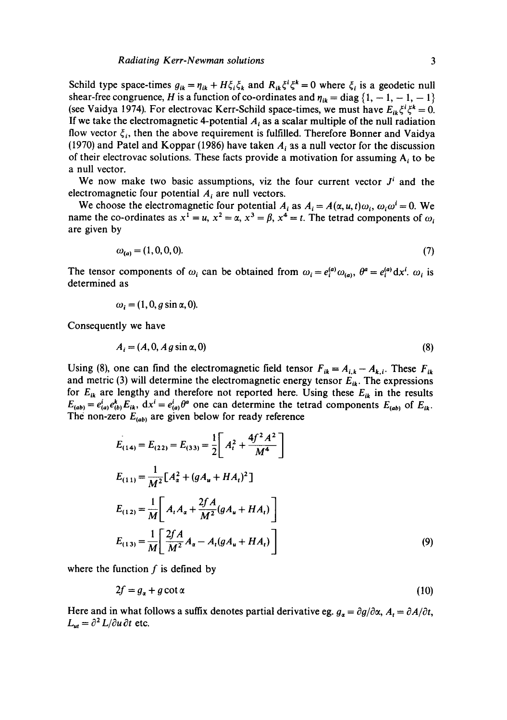Schild type space-times  $g_{ik} = \eta_{ik} + H\xi_i\xi_k$  and  $R_{ik}\xi^i\xi^k = 0$  where  $\xi_i$  is a geodetic null shear-free congruence, H is a function of co-ordinates and  $\eta_{ik} = \text{diag} \{1, -1, -1, -1\}$ (see Vaidya 1974). For electrovac Kerr-Schild space-times, we must have  $E_{ik} \xi^i \xi^k = 0$ . If we take the electromagnetic 4-potential  $A_i$  as a scalar multiple of the null radiation flow vector  $\xi_i$ , then the above requirement is fulfilled. Therefore Bonner and Vaidya (1970) and Patel and Koppar (1986) have taken  $A_i$  as a null vector for the discussion of their electrovac solutions. These facts provide a motivation for assuming  $A_i$  to be a null vector.

We now make two basic assumptions, viz the four current vector  $J<sup>i</sup>$  and the electromagnetic four potential  $A_i$  are null vectors.

We choose the electromagnetic four potential  $A_i$  as  $A_i = A(\alpha, u, t)\omega_i$ ,  $\omega_i\omega^i = 0$ . We name the co-ordinates as  $x^1 = u$ ,  $x^2 = \alpha$ ,  $x^3 = \beta$ ,  $x^4 = t$ . The tetrad components of  $\omega$ . are given by

$$
\omega_{(a)} = (1, 0, 0, 0). \tag{7}
$$

The tensor components of  $\omega_i$  can be obtained from  $\omega_i = e_i^{(a)} \omega_{(a)}, \theta^a = e_i^{(a)} dx^i$ .  $\omega_i$  is determined as

$$
\omega_i = (1, 0, g \sin \alpha, 0).
$$

Consequently we have

$$
A_i = (A, 0, A g \sin \alpha, 0) \tag{8}
$$

Using (8), one can find the electromagnetic field tensor  $F_{ik} = A_{i,k} - A_{k,i}$ . These  $F_{ik}$ and metric (3) will determine the electromagnetic energy tensor  $E_{ik}$ . The expressions for  $E_{ik}$  are lengthy and therefore not reported here. Using these  $E_{ik}$  in the results  $E_{(ab)} = e_{(a)}^i e_{(b)}^k E_{ik}$ ,  $dx^i = e_{(a)}^i \theta^a$  one can determine the tetrad components  $E_{(ab)}$  of  $E_{ik}$ . The non-zero  $E_{(ab)}$  are given below for ready reference

$$
E_{(14)} = E_{(22)} = E_{(33)} = \frac{1}{2} \left[ A_t^2 + \frac{4f^2 A^2}{M^4} \right]
$$
  
\n
$$
E_{(11)} = \frac{1}{M^2} [A_a^2 + (gA_u + HA_t)^2]
$$
  
\n
$$
E_{(12)} = \frac{1}{M} \left[ A_t A_a + \frac{2fA}{M^2} (gA_u + HA_t) \right]
$$
  
\n
$$
E_{(13)} = \frac{1}{M} \left[ \frac{2fA}{M^2} A_a - A_t (gA_u + HA_t) \right]
$$
 (9)

where the function  $f$  is defined by

$$
2f = g_{\alpha} + g \cot \alpha \tag{10}
$$

Here and in what follows a suffix denotes partial derivative eg.  $g_{\alpha} = \partial g / \partial \alpha$ ,  $A_t = \partial A / \partial t$ ,  $L_{ut} = \partial^2 L / \partial u \, \partial t$  etc.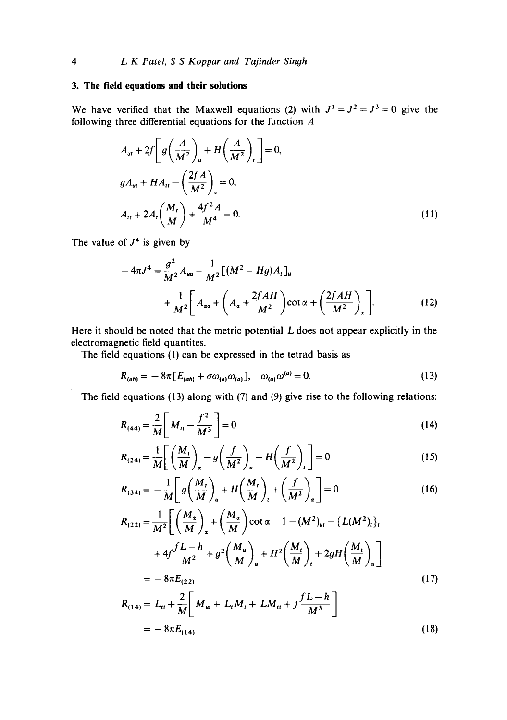## **3. The field equations and their solutions**

We have verified that the Maxwell equations (2) with  $J^1 = J^2 = J^3 = 0$  give the following three differential equations for the function A

$$
A_{at} + 2f \left[ g \left( \frac{A}{M^2} \right)_u + H \left( \frac{A}{M^2} \right)_t \right] = 0,
$$
  

$$
g A_{ut} + H A_{tt} - \left( \frac{2fA}{M^2} \right)_a = 0,
$$
  

$$
A_{tt} + 2A_t \left( \frac{M_t}{M} \right) + \frac{4f^2 A}{M^4} = 0.
$$
 (11)

The value of  $J<sup>4</sup>$  is given by

$$
-4\pi J^4 = \frac{g^2}{M^2} A_{uu} - \frac{1}{M^2} [(M^2 - Hg)A_t]_u
$$
  
+ 
$$
\frac{1}{M^2} \bigg[ A_{\alpha\alpha} + \left( A_{\alpha} + \frac{2fAH}{M^2} \right) \cot \alpha + \left( \frac{2fAH}{M^2} \right)_{\alpha} \bigg].
$$
 (12)

Here it should be noted that the metric potential  $L$  does not appear explicitly in the electromagnetic field quantites.

The field equations (1) can be expressed in the tetrad basis as

$$
R_{(ab)} = -8\pi [E_{(ab)} + \sigma \omega_{(a)} \omega_{(a)}], \quad \omega_{(a)} \omega^{(a)} = 0. \tag{13}
$$

The field equations (13) along with (7) and (9) give rise to the following relations:

$$
R_{(44)} = \frac{2}{M} \left[ M_u - \frac{f^2}{M^3} \right] = 0 \tag{14}
$$

$$
R_{(24)} = \frac{1}{M} \left[ \left( \frac{M_t}{M} \right)_\alpha - g \left( \frac{f}{M^2} \right)_\nu - H \left( \frac{f}{M^2} \right)_t \right] = 0 \tag{15}
$$

$$
R_{(34)} = -\frac{1}{M} \left[ g \left( \frac{M_t}{M} \right)_u + H \left( \frac{M_t}{M} \right)_t + \left( \frac{f}{M^2} \right)_a \right] = 0 \tag{16}
$$

$$
R_{(22)} = \frac{1}{M^2} \bigg[ \left( \frac{M_x}{M} \right)_x + \left( \frac{M_x}{M} \right) \cot \alpha - 1 - (M^2)_{ut} - \{ L(M^2)_t \},
$$
  
+ 
$$
4f \frac{fL - h}{M^2} + g^2 \left( \frac{M_u}{M} \right)_u + H^2 \left( \frac{M_t}{M} \right)_t + 2gH \left( \frac{M_t}{M} \right)_u \bigg]
$$
  
= 
$$
-8\pi E_{(22)} \tag{17}
$$

$$
R_{(14)} = L_{tt} + \frac{2}{M} \bigg[ M_{ut} + L_t M_t + LM_{tt} + f \frac{fL - h}{M^3} \bigg]
$$
  
= 
$$
-8\pi E_{(14)}
$$
 (18)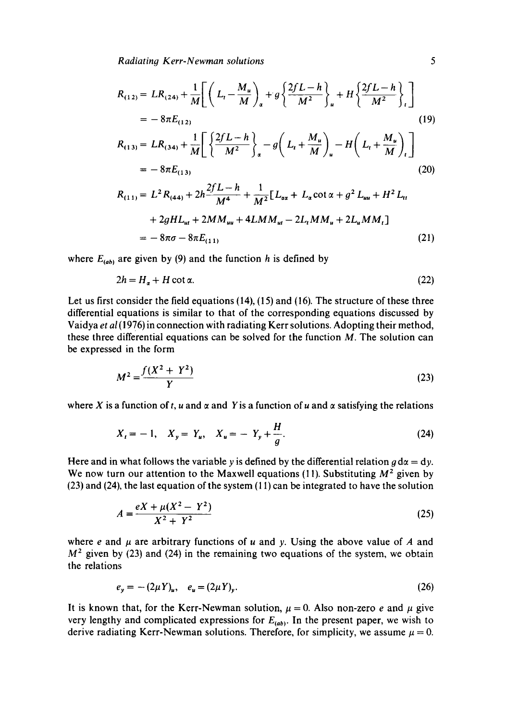*Radiating Kerr-Newman solutions 5* 

$$
R_{(12)} = LR_{(24)} + \frac{1}{M} \bigg[ \bigg( L_t - \frac{M_u}{M} \bigg)_a + g \bigg\{ \frac{2fL - h}{M^2} \bigg\}_u + H \bigg\{ \frac{2fL - h}{M^2} \bigg\}_t \bigg]
$$
  
\n
$$
= -8\pi E_{(12)}
$$
  
\n
$$
R_{(13)} = LR_{(34)} + \frac{1}{M} \bigg[ \bigg\{ \frac{2fL - h}{M^2} \bigg\}_a - g \bigg( L_t + \frac{M_u}{M} \bigg)_u - H \bigg( L_t + \frac{M_u}{M} \bigg)_t \bigg]
$$
  
\n
$$
= -8\pi E_{(13)}
$$
  
\n
$$
R_{(11)} = L^2 R_{(44)} + 2h \frac{2fL - h}{M^4} + \frac{1}{M^2} [L_{\alpha\alpha} + L_{\alpha} \cot \alpha + g^2 L_{uu} + H^2 L_u + 2gHL_{ut} + 2MM_{uu} + 4LM_{uu} - 2L_t MM_u + 2L_u MM_t]
$$
  
\n(20)

$$
= -8\pi\sigma - 8\pi E_{(11)} \tag{21}
$$

where  $E_{(ab)}$  are given by (9) and the function h is defined by

$$
2h = H_a + H \cot \alpha. \tag{22}
$$

Let us first consider the field equations (14), (15) and (16). The structure of these three differential equations is similar to that of the corresponding equations discussed by Vaidya et al (1976) in connection with radiating Kerr solutions. Adopting their method, these three differential equations can be solved for the function  $M$ . The solution can be expressed in the form

$$
M^2 = \frac{f(X^2 + Y^2)}{Y}
$$
 (23)

where X is a function of t, u and  $\alpha$  and Y is a function of u and  $\alpha$  satisfying the relations

$$
X_t = -1, \quad X_y = Y_u, \quad X_u = -Y_y + \frac{H}{g}.\tag{24}
$$

Here and in what follows the variable y is defined by the differential relation  $g d\alpha = dy$ . We now turn our attention to the Maxwell equations  $(11)$ . Substituting  $M^2$  given by (23) and (24), the last equation of the system (11) can be integrated to have the solution

$$
A = \frac{eX + \mu(X^2 - Y^2)}{X^2 + Y^2}
$$
 (25)

where e and  $\mu$  are arbitrary functions of u and y. Using the above value of A and  $M<sup>2</sup>$  given by (23) and (24) in the remaining two equations of the system, we obtain the relations

$$
e_y = - (2\mu Y)_u, \quad e_u = (2\mu Y)_y. \tag{26}
$$

It is known that, for the Kerr-Newman solution,  $\mu = 0$ . Also non-zero e and  $\mu$  give very lengthy and complicated expressions for  $E_{(ab)}$ . In the present paper, we wish to derive radiating Kerr-Newman solutions. Therefore, for simplicity, we assume  $\mu = 0$ .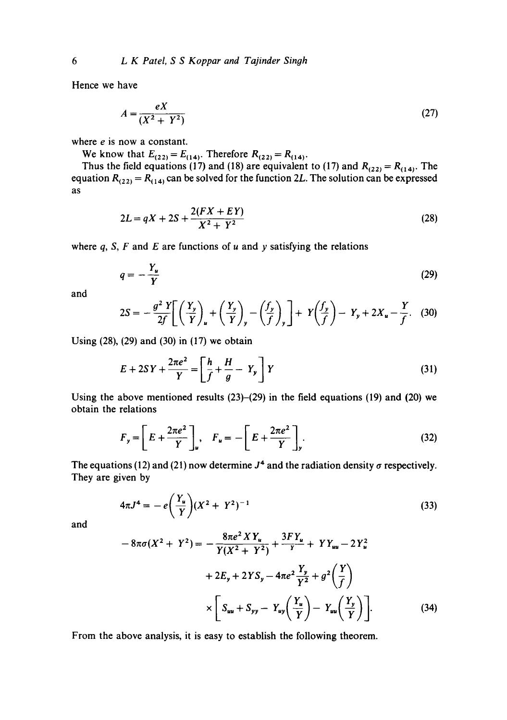Hence we have

$$
A = \frac{eX}{\left(X^2 + Y^2\right)}\tag{27}
$$

where *e* is now a constant.

We know that  $E_{(22)} = E_{(14)}$ . Therefore  $R_{(22)} = R_{(14)}$ .

Thus the field equations (17) and (18) are equivalent to (17) and  $R_{(22)} = R_{(14)}$ . The equation  $R_{(22)} = R_{(14)}$  can be solved for the function 2L. The solution can be expressed as

$$
2L = qX + 2S + \frac{2(FX + EY)}{X^2 + Y^2}
$$
 (28)

where q, S, F and E are functions of  $u$  and  $y$  satisfying the relations

$$
q = -\frac{Y_u}{Y} \tag{29}
$$

and

$$
2S = -\frac{g^2 Y}{2f} \bigg[ \left( \frac{Y_y}{Y} \right)_u + \left( \frac{Y_y}{Y} \right)_y - \left( \frac{f_y}{f} \right)_y \bigg] + Y \left( \frac{f_y}{f} \right) - Y_y + 2X_u - \frac{Y}{f}.
$$
 (30)

Using (28), (29) and (30) in (17) we obtain

$$
E + 2SY + \frac{2\pi e^2}{Y} = \left[\frac{h}{f} + \frac{H}{g} - Y_y\right]Y\tag{31}
$$

Using the above mentioned results  $(23)$ – $(29)$  in the field equations  $(19)$  and  $(20)$  we obtain the relations

$$
F_y = \left[ E + \frac{2\pi e^2}{Y} \right]_v, \quad F_u = -\left[ E + \frac{2\pi e^2}{Y} \right]_y.
$$
 (32)

The equations (12) and (21) now determine  $J<sup>4</sup>$  and the radiation density  $\sigma$  respectively. They are given by

$$
4\pi J^4 = -e\left(\frac{Y_u}{Y}\right)(X^2 + Y^2)^{-1}
$$
\n(33)

and

$$
-8\pi\sigma(X^{2} + Y^{2}) = -\frac{8\pi e^{2}XY_{u}}{Y(X^{2} + Y^{2})} + \frac{3FY_{u}}{Y} + YY_{uu} - 2Y_{u}^{2}
$$

$$
+ 2E_{y} + 2YS_{y} - 4\pi e^{2}\frac{Y_{y}}{Y^{2}} + g^{2}(\frac{Y}{f})
$$

$$
\times \left[ S_{uu} + S_{yy} - Y_{uy}(\frac{Y_{u}}{Y}) - Y_{uu}(\frac{Y_{y}}{Y}) \right].
$$
(34)

From the above analysis, it is easy to establish the following theorem.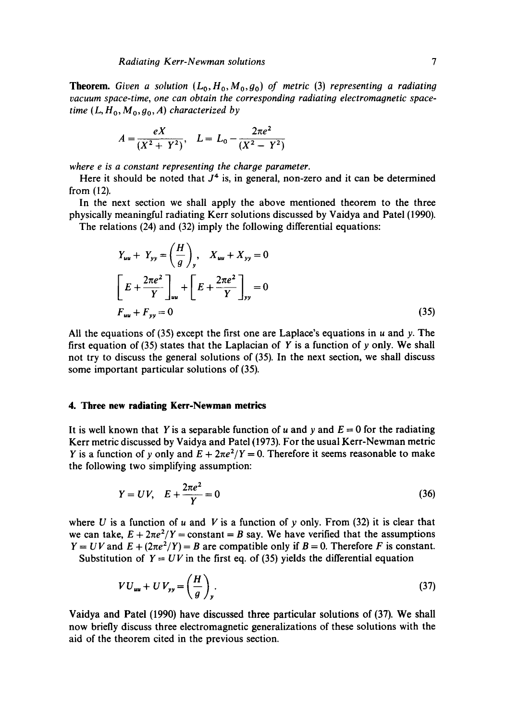**Theorem.** Given a solution  $(L_0, H_0, M_0, g_0)$  of metric (3) representing a radiating *vacuum space-time, one can obtain the corresponding radiating electromagnetic spacetime*  $(L, H_0, M_0, g_0, A)$  *characterized by* 

$$
A = \frac{eX}{(X^2 + Y^2)}, \quad L = L_0 - \frac{2\pi e^2}{(X^2 - Y^2)}
$$

*where e is a constant representing the charge parameter.* 

Here it should be noted that  $J<sup>4</sup>$  is, in general, non-zero and it can be determined from (12).

In the next section we shall apply the above mentioned theorem to the three physically meaningful radiating Kerr solutions discussed by Vaidya and Patel (1990). The relations (24) and (32) imply the following differential equations:

$$
Y_{uu} + Y_{yy} = \left(\frac{H}{g}\right)_y, \quad X_{uu} + X_{yy} = 0
$$
  

$$
\left[E + \frac{2\pi e^2}{Y}\right]_{uu} + \left[E + \frac{2\pi e^2}{Y}\right]_{yy} = 0
$$
  

$$
F_{uu} + F_{yy} = 0
$$
 (35)

All the equations of (35) except the first one are Laplace's equations in u and y. The first equation of (35) states that the Laplacian of Y is a function of y only. We shall not try to discuss the general solutions of (35). In the next section, we shall discuss some important particular solutions of (35).

## **4. Three new radiating Kerr-Newman metrics**

It is well known that Y is a separable function of u and y and  $E = 0$  for the radiating Kerr metric discussed by Vaidya and Patel (1973). For the usual Kerr-Newman metric Y is a function of y only and  $E + 2\pi e^2/Y = 0$ . Therefore it seems reasonable to make the following two simplifying assumption:

$$
Y = UV, \quad E + \frac{2\pi e^2}{Y} = 0 \tag{36}
$$

where U is a function of u and V is a function of y only. From  $(32)$  it is clear that we can take,  $E + 2\pi e^2/Y = constant = B$  say. We have verified that the assumptions  $Y = UV$  and  $E + (2\pi e^2/Y) = B$  are compatible only if  $B = 0$ . Therefore F is constant. Substitution of  $Y = UV$  in the first eq. of (35) yields the differential equation

$$
VU_{uu} + UV_{yy} = \left(\frac{H}{g}\right)_y.
$$
 (37)

Vaidya and Patel (1990) have discussed three particular solutions of (37). We shall now briefly discuss three electromagnetic generalizations of these solutions with the aid of the theorem cited in the previous section.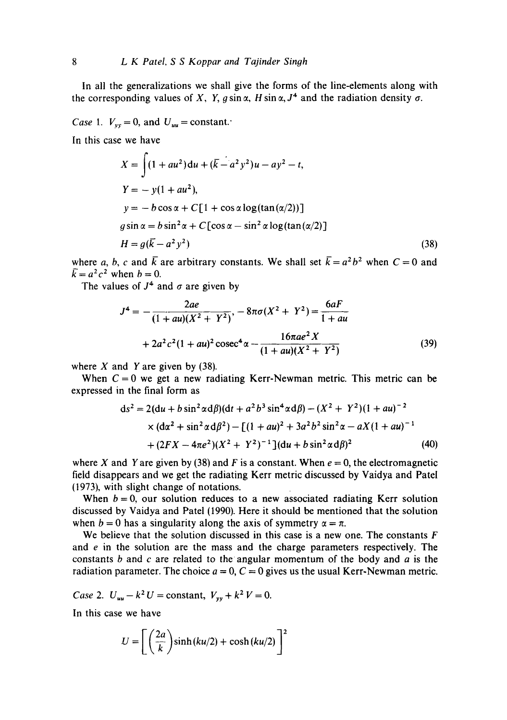In all the generalizations we shall give the forms of the line-elements along with the corresponding values of X, Y,  $g \sin \alpha$ , H sin  $\alpha$ ,  $J^4$  and the radiation density  $\sigma$ .

*Case 1.*  $V_{vv} = 0$ , and  $U_{uu} = constant$ .

In this case we have

$$
X = \int (1 + au^2) du + (\overline{k} - a^2 y^2) u - a y^2 - t,
$$
  
\n
$$
Y = -y(1 + au^2),
$$
  
\n
$$
y = -b \cos \alpha + C[1 + \cos \alpha \log(\tan(\alpha/2))]
$$
  
\n
$$
g \sin \alpha = b \sin^2 \alpha + C[\cos \alpha - \sin^2 \alpha \log(\tan(\alpha/2))]
$$
  
\n
$$
H = g(\overline{k} - a^2 y^2)
$$
\n(38)

where a, b, c and  $\bar{k}$  are arbitrary constants. We shall set  $\bar{k}= a^2b^2$  when  $C=0$  and  $\bar{k} = a^2 c^2$  when  $b = 0$ .

The values of  $J^4$  and  $\sigma$  are given by

$$
J4 = -\frac{2ae}{(1 + au)(X2 + Y2)} - 8\pi\sigma(X2 + Y2) = \frac{6aF}{1 + au}
$$
  
+ 2a<sup>2</sup>c<sup>2</sup>(1 + au)<sup>2</sup> cosec<sup>4</sup>α -  $\frac{16\pi ae2 X}{(1 + au)(X2 + Y2)}$  (39)

where  $X$  and  $Y$  are given by (38).

When  $C = 0$  we get a new radiating Kerr-Newman metric. This metric can be expressed in the final form as

$$
ds^{2} = 2(du + b \sin^{2} \alpha d\beta)(dt + a^{2} b^{3} \sin^{4} \alpha d\beta) - (X^{2} + Y^{2})(1 + au)^{-2}
$$
  
 
$$
\times (dx^{2} + \sin^{2} \alpha d\beta^{2}) - [(1 + au)^{2} + 3a^{2} b^{2} \sin^{2} \alpha - aX(1 + au)^{-1}
$$
  
 
$$
+ (2FX - 4\pi e^{2})(X^{2} + Y^{2})^{-1}](du + b \sin^{2} \alpha d\beta)^{2}
$$
(40)

where X and Y are given by (38) and F is a constant. When  $e = 0$ , the electromagnetic field disappears and we get the radiating Kerr metric discussed by Vaidya and Patel (1973), with slight change of notations.

When  $b = 0$ , our solution reduces to a new associated radiating Kerr solution discussed by Vaidya and Patel (1990). Here it should be mentioned that the solution when  $b = 0$  has a singularity along the axis of symmetry  $\alpha = \pi$ .

We believe that the solution discussed in this case is a new one. The constants  $F$ and e in the solution are the mass and the charge parameters respectively. The constants b and c are related to the angular momentum of the body and a is the radiation parameter. The choice  $a = 0$ ,  $C = 0$  gives us the usual Kerr-Newman metric.

*Case* 2.  $U_{uu} - k^2 U = constant$ ,  $V_{vv} + k^2 V = 0$ .

In this case we have

$$
U = \left[ \left( \frac{2a}{k} \right) \sinh(ku/2) + \cosh(ku/2) \right]^2
$$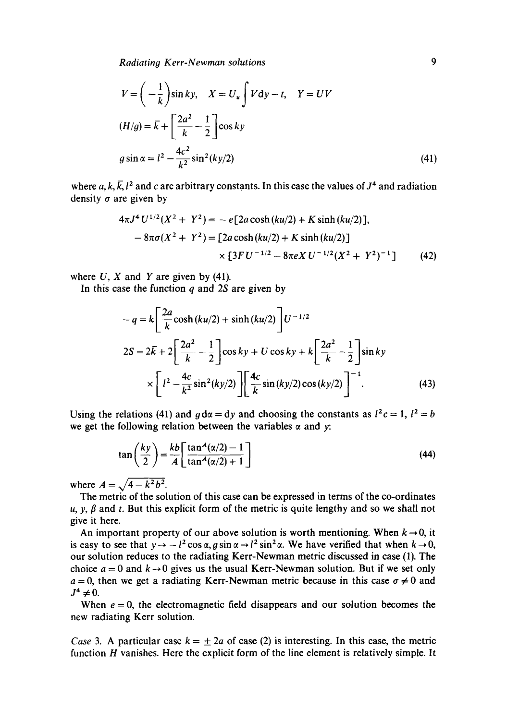*Radiating Kerr-Newman solutions 9* 

$$
V = \left(-\frac{1}{k}\right)\sin ky, \quad X = U_u \int V dy - t, \quad Y = UV
$$
  
\n
$$
(H/g) = \overline{k} + \left[\frac{2a^2}{k} - \frac{1}{2}\right] \cos ky
$$
  
\n
$$
g \sin \alpha = l^2 - \frac{4c^2}{k^2} \sin^2(ky/2)
$$
\n(41)

where a, k,  $\bar{k}$ , l<sup>2</sup> and c are arbitrary constants. In this case the values of  $J<sup>4</sup>$  and radiation density  $\sigma$  are given by

$$
4\pi J^4 U^{1/2} (X^2 + Y^2) = -e [2a \cosh(ku/2) + K \sinh(ku/2)],
$$
  

$$
-8\pi \sigma (X^2 + Y^2) = [2a \cosh(ku/2) + K \sinh(ku/2)]
$$
  

$$
\times [3FU^{-1/2} - 8\pi eX U^{-1/2} (X^2 + Y^2)^{-1}]
$$
(42)

where  $U$ ,  $X$  and  $Y$  are given by (41).

In this case the function  $q$  and 2S are given by

$$
-q = k \left[ \frac{2a}{k} \cosh(ku/2) + \sinh(ku/2) \right] U^{-1/2}
$$
  

$$
2S = 2\bar{k} + 2 \left[ \frac{2a^2}{k} - \frac{1}{2} \right] \cos ky + U \cos ky + k \left[ \frac{2a^2}{k} - \frac{1}{2} \right] \sin ky
$$
  

$$
\times \left[ l^2 - \frac{4c}{k^2} \sin^2(ky/2) \right] \left[ \frac{4c}{k} \sin(ky/2) \cos(ky/2) \right]^{-1}.
$$
 (43)

Using the relations (41) and  $g dx = dy$  and choosing the constants as  $l^2c = 1$ ,  $l^2 = b$ we get the following relation between the variables  $\alpha$  and y:

$$
\tan\left(\frac{ky}{2}\right) = \frac{kb}{A} \left[ \frac{\tan^A(\alpha/2) - 1}{\tan^A(\alpha/2) + 1} \right]
$$
(44)

where  $A = \sqrt{4 - k^2 b^2}$ .

The metric of the solution of this case can be expressed in terms of the co-ordinates u,  $y, \beta$  and t. But this explicit form of the metric is quite lengthy and so we shall not give it here.

An important property of our above solution is worth mentioning. When  $k \rightarrow 0$ , it is easy to see that  $y \rightarrow -l^2 \cos \alpha$ ,  $g \sin \alpha \rightarrow l^2 \sin^2 \alpha$ . We have verified that when  $k \rightarrow 0$ , our solution reduces to the radiating Kerr-Newman metric discussed in case (1). The choice  $a = 0$  and  $k \rightarrow 0$  gives us the usual Kerr-Newman solution. But if we set only  $a = 0$ , then we get a radiating Kerr-Newman metric because in this case  $\sigma \neq 0$  and  $J^4 \neq 0$ .

When  $e = 0$ , the electromagnetic field disappears and our solution becomes the new radiating Kerr solution.

*Case* 3. A particular case  $k = \pm 2a$  of case (2) is interesting. In this case, the metric function  $H$  vanishes. Here the explicit form of the line element is relatively simple. It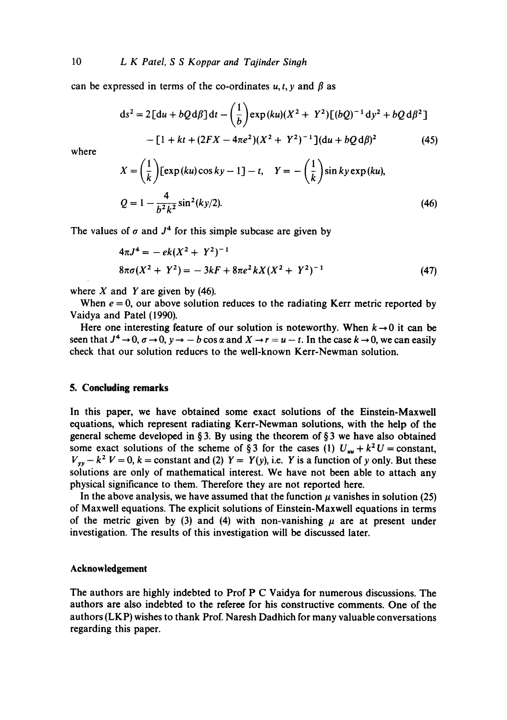10 *L K Patel, S S Koppar and Tajinder Singh* 

can be expressed in terms of the co-ordinates  $u, t, v$  and  $\beta$  as

$$
ds^{2} = 2\left[du + bQd\beta\right]dt - \left(\frac{1}{b}\right) \exp(ku)(X^{2} + Y^{2})\left[(bQ)^{-1}dy^{2} + bQd\beta^{2}\right] - \left[1 + kt + (2FX - 4\pi e^{2})(X^{2} + Y^{2})^{-1}\right](du + bQd\beta)^{2}
$$
(45)

where

$$
X = \left(\frac{1}{k}\right) \left[\exp(ku)\cos ky - 1\right] - t, \quad Y = -\left(\frac{1}{k}\right) \sin ky \exp(ku),
$$
  

$$
Q = 1 - \frac{4}{b^2 k^2} \sin^2(ky/2).
$$
 (46)

The values of  $\sigma$  and  $J^4$  for this simple subcase are given by

$$
4\pi J^4 = -ek(X^2 + Y^2)^{-1}
$$
  

$$
8\pi\sigma(X^2 + Y^2) = -3kF + 8\pi e^2 kX(X^2 + Y^2)^{-1}
$$
 (47)

where  $X$  and  $Y$  are given by (46).

When  $e = 0$ , our above solution reduces to the radiating Kerr metric reported by Vaidya and Patel (1990).

Here one interesting feature of our solution is noteworthy. When  $k \rightarrow 0$  it can be seen that  $J^4 \to 0$ ,  $\sigma \to 0$ ,  $\nu \to -b \cos \alpha$  and  $X \to r = u - t$ . In the case  $k \to 0$ , we can easily check that our solution reduces to the well-known Kerr-Newman solution.

#### **5. Concluding remarks**

In this paper, we have obtained some exact solutions of the Einstein-Maxwell equations, which represent radiating Kerr-Newman solutions, with the help of the general scheme developed in § 3. By using the theorem of § 3 we have also obtained some exact solutions of the scheme of § 3 for the cases (1)  $U_{uu} + k^2 U =$  constant,  $V_{yy} - k^2 V = 0$ ,  $k =$  constant and (2)  $Y = Y(y)$ , i.e. Y is a function of y only. But these solutions are only of mathematical interest. We have not been able to attach any physical significance to them. Therefore they are not reported here.

In the above analysis, we have assumed that the function  $\mu$  vanishes in solution (25) of Maxwell equations. The explicit solutions of Einstein-Maxwell equations in terms of the metric given by (3) and (4) with non-vanishing  $\mu$  are at present under investigation. The results of this investigation will be discussed later.

### **Acknowledgement**

The authors are highly indebted to Prof P C Vaidya for numerous discussions. The authors are also indebted to the referee for his constructive comments. One of the authors (LKP) wishes to thank Prof. Naresh Dadhich for many valuable conversations regarding this paper.